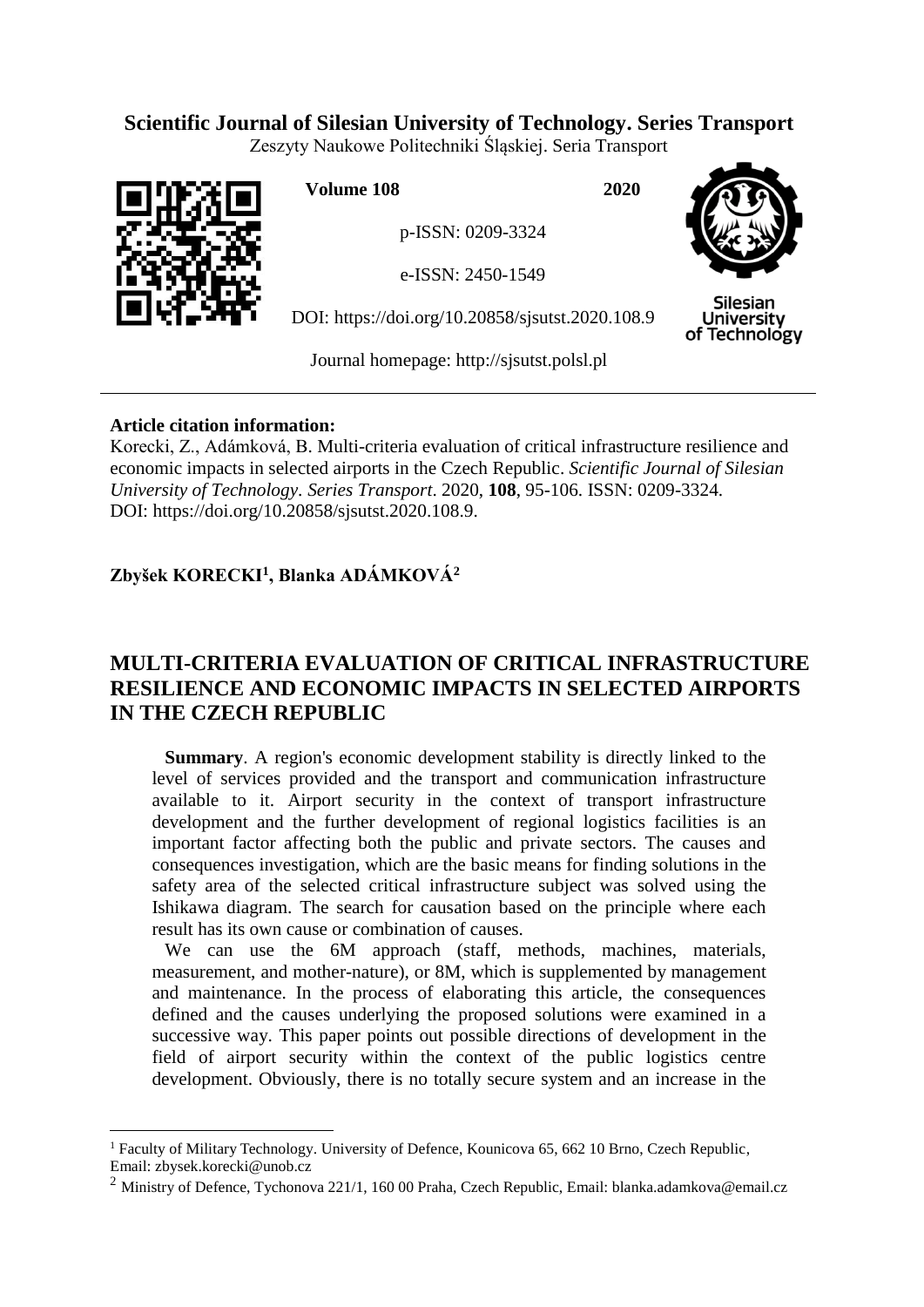# **Scientific Journal of Silesian University of Technology. Series Transport**

Zeszyty Naukowe Politechniki Śląskiej. Seria Transport



 $\overline{a}$ 

**Volume 108 2020**

p-ISSN: 0209-3324

e-ISSN: 2450-1549

DOI: https://doi.org/10.20858/sjsutst.2020.108.9



**Silesian University** of Technology

Journal homepage: [http://sjsutst.polsl.pl](http://sjsutst.polsl.pl/)

## **Article citation information:**

Korecki, Z., Adámková, B. Multi-criteria evaluation of critical infrastructure resilience and economic impacts in selected airports in the Czech Republic. *Scientific Journal of Silesian University of Technology. Series Transport*. 2020, **108**, 95-106. ISSN: 0209-3324. DOI: https://doi.org/10.20858/sjsutst.2020.108.9.

# **Zbyšek KORECKI<sup>1</sup> , Blanka ADÁMKOVÁ<sup>2</sup>**

# **MULTI-CRITERIA EVALUATION OF CRITICAL INFRASTRUCTURE RESILIENCE AND ECONOMIC IMPACTS IN SELECTED AIRPORTS IN THE CZECH REPUBLIC**

**Summary.** A region's economic development stability is directly linked to the level of services provided and the transport and communication infrastructure available to it. Airport security in the context of transport infrastructure development and the further development of regional logistics facilities is an important factor affecting both the public and private sectors. The causes and consequences investigation, which are the basic means for finding solutions in the safety area of the selected critical infrastructure subject was solved using the Ishikawa diagram. The search for causation based on the principle where each result has its own cause or combination of causes.

We can use the 6M approach (staff, methods, machines, materials, measurement, and mother-nature), or 8M, which is supplemented by management and maintenance. In the process of elaborating this article, the consequences defined and the causes underlying the proposed solutions were examined in a successive way. This paper points out possible directions of development in the field of airport security within the context of the public logistics centre development. Obviously, there is no totally secure system and an increase in the

<sup>&</sup>lt;sup>1</sup> Faculty of Military Technology. University of Defence, Kounicova 65, 662 10 Brno, Czech Republic, Email: zbysek.korecki@unob.cz

<sup>&</sup>lt;sup>2</sup> Ministry of Defence, Tychonova 221/1, 160 00 Praha, Czech Republic, Email: blanka.adamkova@email.cz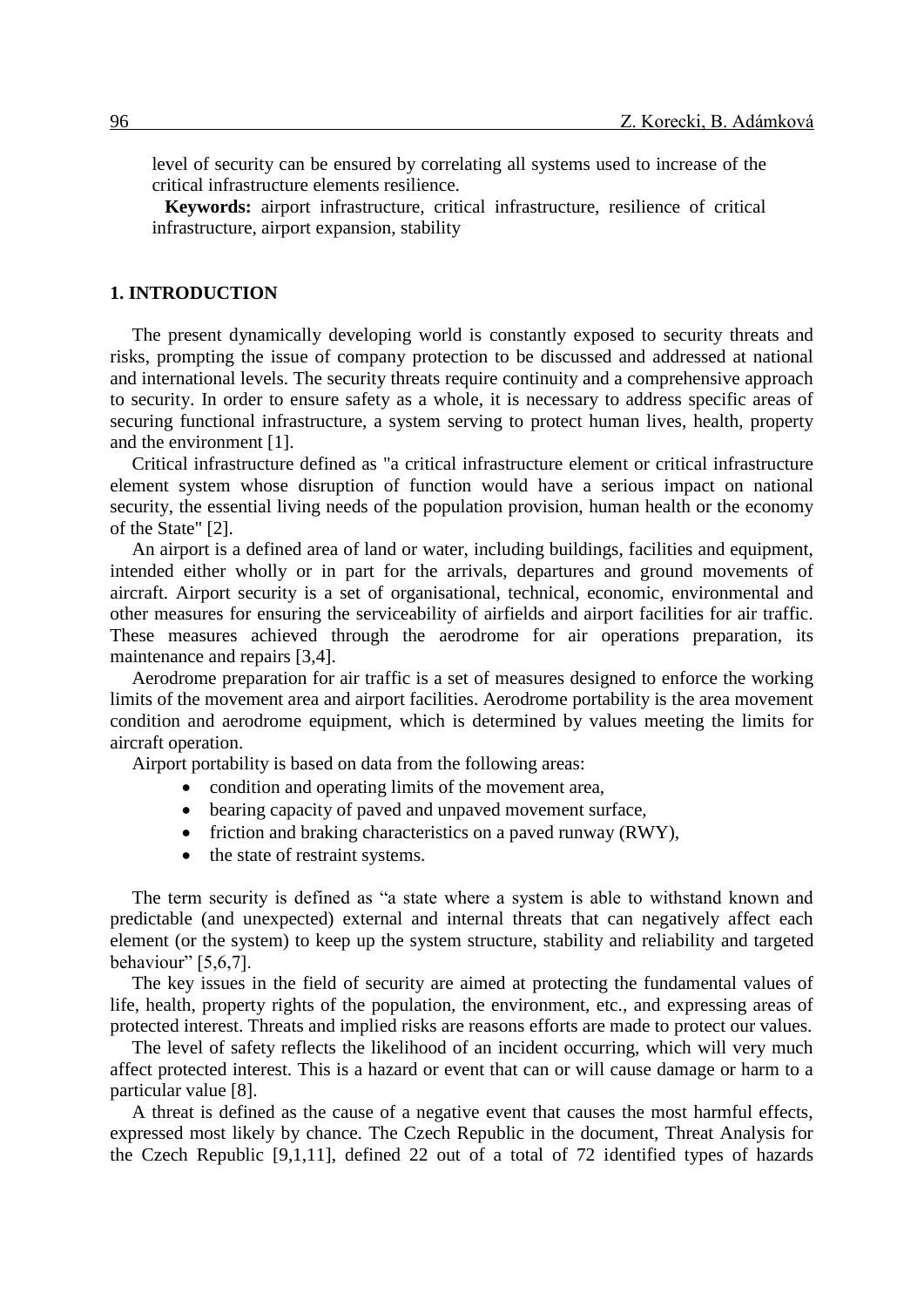level of security can be ensured by correlating all systems used to increase of the critical infrastructure elements resilience.

**Keywords:** airport infrastructure, critical infrastructure, resilience of critical infrastructure, airport expansion, stability

#### **1. INTRODUCTION**

The present dynamically developing world is constantly exposed to security threats and risks, prompting the issue of company protection to be discussed and addressed at national and international levels. The security threats require continuity and a comprehensive approach to security. In order to ensure safety as a whole, it is necessary to address specific areas of securing functional infrastructure, a system serving to protect human lives, health, property and the environment [1].

Critical infrastructure defined as "a critical infrastructure element or critical infrastructure element system whose disruption of function would have a serious impact on national security, the essential living needs of the population provision, human health or the economy of the State" [2].

An airport is a defined area of land or water, including buildings, facilities and equipment, intended either wholly or in part for the arrivals, departures and ground movements of aircraft. Airport security is a set of organisational, technical, economic, environmental and other measures for ensuring the serviceability of airfields and airport facilities for air traffic. These measures achieved through the aerodrome for air operations preparation, its maintenance and repairs [3,4].

Aerodrome preparation for air traffic is a set of measures designed to enforce the working limits of the movement area and airport facilities. Aerodrome portability is the area movement condition and aerodrome equipment, which is determined by values meeting the limits for aircraft operation.

Airport portability is based on data from the following areas:

- condition and operating limits of the movement area,
- bearing capacity of paved and unpaved movement surface,
- $\bullet$  friction and braking characteristics on a paved runway (RWY),
- the state of restraint systems.

The term security is defined as "a state where a system is able to withstand known and predictable (and unexpected) external and internal threats that can negatively affect each element (or the system) to keep up the system structure, stability and reliability and targeted behaviour" [5,6,7].

The key issues in the field of security are aimed at protecting the fundamental values of life, health, property rights of the population, the environment, etc., and expressing areas of protected interest. Threats and implied risks are reasons efforts are made to protect our values.

The level of safety reflects the likelihood of an incident occurring, which will very much affect protected interest. This is a hazard or event that can or will cause damage or harm to a particular value [8].

A threat is defined as the cause of a negative event that causes the most harmful effects, expressed most likely by chance. The Czech Republic in the document, Threat Analysis for the Czech Republic [9,1,11], defined 22 out of a total of 72 identified types of hazards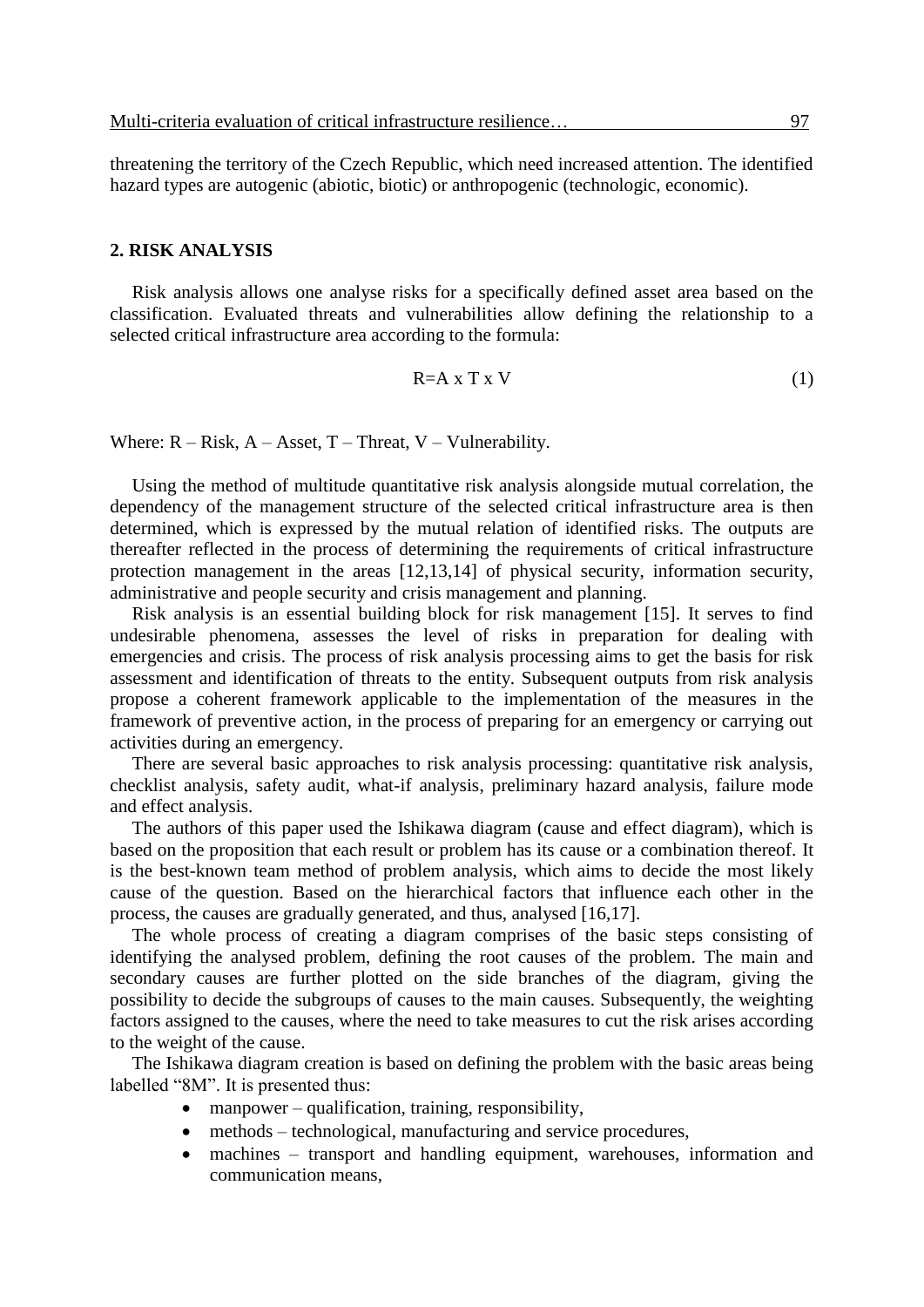threatening the territory of the Czech Republic, which need increased attention. The identified hazard types are autogenic (abiotic, biotic) or anthropogenic (technologic, economic).

## **2. RISK ANALYSIS**

Risk analysis allows one analyse risks for a specifically defined asset area based on the classification. Evaluated threats and vulnerabilities allow defining the relationship to a selected critical infrastructure area according to the formula:

$$
R=A \times T \times V \tag{1}
$$

Where:  $R - Risk$ ,  $A - Asset$ ,  $T - Thread$ ,  $V - Vunderability$ .

Using the method of multitude quantitative risk analysis alongside mutual correlation, the dependency of the management structure of the selected critical infrastructure area is then determined, which is expressed by the mutual relation of identified risks. The outputs are thereafter reflected in the process of determining the requirements of critical infrastructure protection management in the areas [12,13,14] of physical security, information security, administrative and people security and crisis management and planning.

Risk analysis is an essential building block for risk management [15]. It serves to find undesirable phenomena, assesses the level of risks in preparation for dealing with emergencies and crisis. The process of risk analysis processing aims to get the basis for risk assessment and identification of threats to the entity. Subsequent outputs from risk analysis propose a coherent framework applicable to the implementation of the measures in the framework of preventive action, in the process of preparing for an emergency or carrying out activities during an emergency.

There are several basic approaches to risk analysis processing: quantitative risk analysis, checklist analysis, safety audit, what-if analysis, preliminary hazard analysis, failure mode and effect analysis.

The authors of this paper used the Ishikawa diagram (cause and effect diagram), which is based on the proposition that each result or problem has its cause or a combination thereof. It is the best-known team method of problem analysis, which aims to decide the most likely cause of the question. Based on the hierarchical factors that influence each other in the process, the causes are gradually generated, and thus, analysed [16,17].

The whole process of creating a diagram comprises of the basic steps consisting of identifying the analysed problem, defining the root causes of the problem. The main and secondary causes are further plotted on the side branches of the diagram, giving the possibility to decide the subgroups of causes to the main causes. Subsequently, the weighting factors assigned to the causes, where the need to take measures to cut the risk arises according to the weight of the cause.

The Ishikawa diagram creation is based on defining the problem with the basic areas being labelled "8M". It is presented thus:

- manpower qualification, training, responsibility,
- methods technological, manufacturing and service procedures,
- machines transport and handling equipment, warehouses, information and communication means,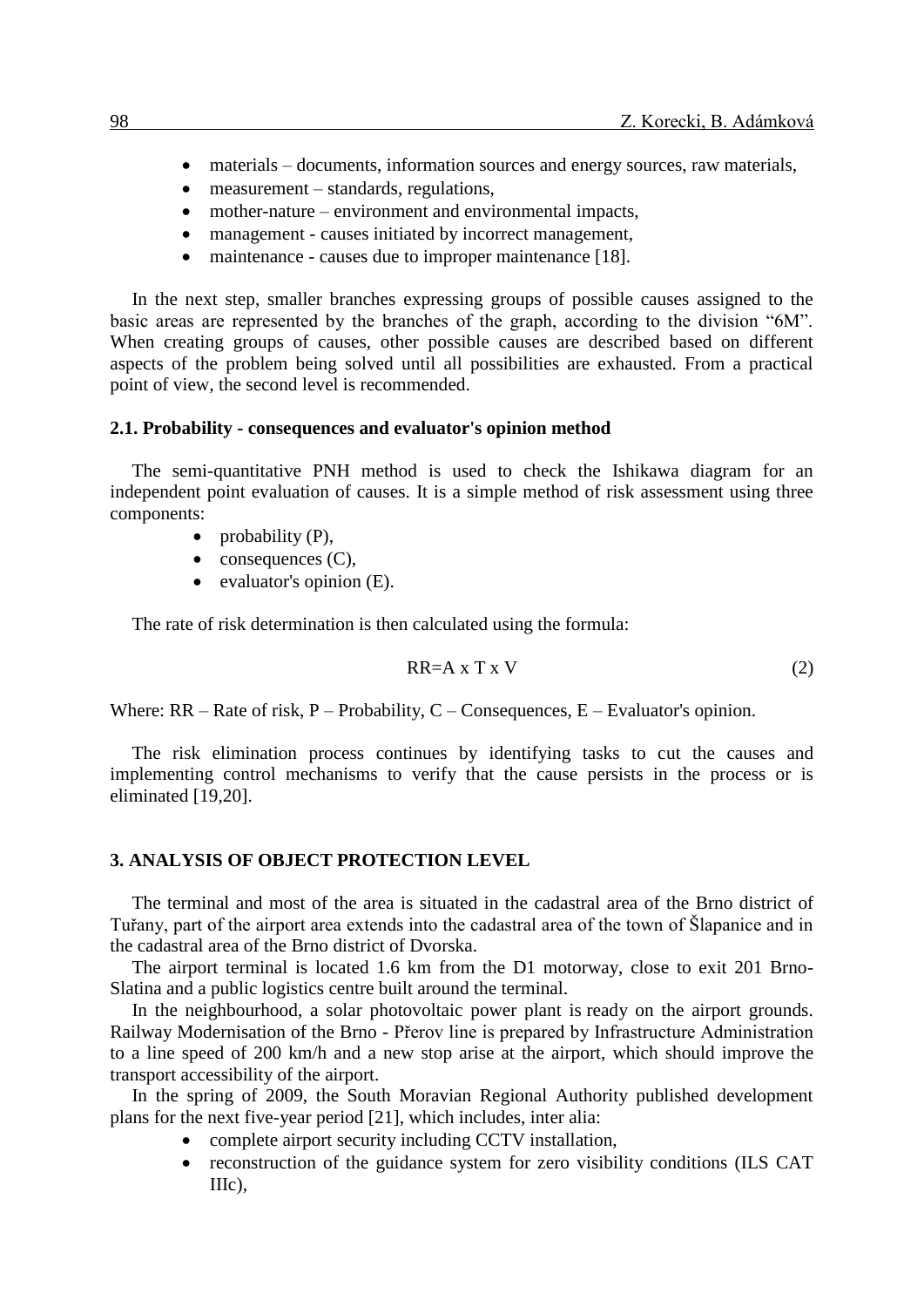- materials documents, information sources and energy sources, raw materials,
- measurement standards, regulations,
- mother-nature environment and environmental impacts,
- management causes initiated by incorrect management,
- maintenance causes due to improper maintenance [18].

In the next step, smaller branches expressing groups of possible causes assigned to the basic areas are represented by the branches of the graph, according to the division "6M". When creating groups of causes, other possible causes are described based on different aspects of the problem being solved until all possibilities are exhausted. From a practical point of view, the second level is recommended.

#### **2.1. Probability - consequences and evaluator's opinion method**

The semi-quantitative PNH method is used to check the Ishikawa diagram for an independent point evaluation of causes. It is a simple method of risk assessment using three components:

- probability  $(P)$ ,
- $\bullet$  consequences  $(C)$ ,
- $\bullet$  evaluator's opinion (E).

The rate of risk determination is then calculated using the formula:

$$
RR=A \times T \times V \tag{2}
$$

Where:  $RR - Rate$  of risk,  $P - Probability$ ,  $C - Consequences$ ,  $E - Evaluation's$  opinion.

The risk elimination process continues by identifying tasks to cut the causes and implementing control mechanisms to verify that the cause persists in the process or is eliminated [19,20].

## **3. ANALYSIS OF OBJECT PROTECTION LEVEL**

The terminal and most of the area is situated in the cadastral area of the Brno district of Tuřany, part of the airport area extends into the cadastral area of the town of Šlapanice and in the cadastral area of the Brno district of Dvorska.

The airport terminal is located 1.6 km from the D1 motorway, close to exit 201 Brno-Slatina and a public logistics centre built around the terminal.

In the neighbourhood, a solar photovoltaic power plant is ready on the airport grounds. Railway Modernisation of the Brno - Přerov line is prepared by Infrastructure Administration to a line speed of 200 km/h and a new stop arise at the airport, which should improve the transport accessibility of the airport.

In the spring of 2009, the South Moravian Regional Authority published development plans for the next five-year period [21], which includes, inter alia:

- complete airport security including CCTV installation,
- reconstruction of the guidance system for zero visibility conditions (ILS CAT IIIc),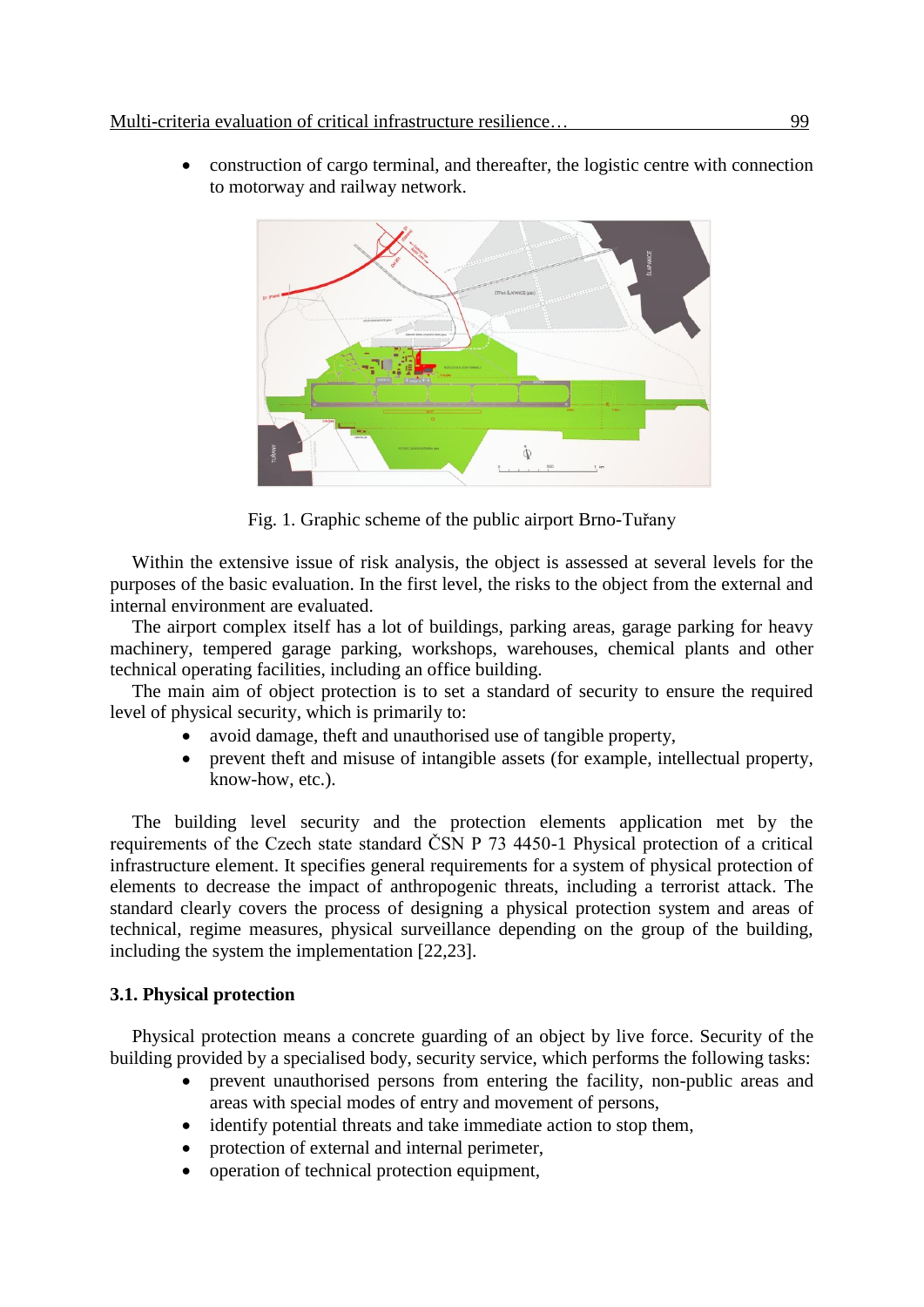construction of cargo terminal, and thereafter, the logistic centre with connection to motorway and railway network.



Fig. 1. Graphic scheme of the public airport Brno-Tuřany

Within the extensive issue of risk analysis, the object is assessed at several levels for the purposes of the basic evaluation. In the first level, the risks to the object from the external and internal environment are evaluated.

The airport complex itself has a lot of buildings, parking areas, garage parking for heavy machinery, tempered garage parking, workshops, warehouses, chemical plants and other technical operating facilities, including an office building.

The main aim of object protection is to set a standard of security to ensure the required level of physical security, which is primarily to:

- avoid damage, theft and unauthorised use of tangible property,
- prevent theft and misuse of intangible assets (for example, intellectual property, know-how, etc.).

The building level security and the protection elements application met by the requirements of the Czech state standard ČSN P 73 4450-1 Physical protection of a critical infrastructure element. It specifies general requirements for a system of physical protection of elements to decrease the impact of anthropogenic threats, including a terrorist attack. The standard clearly covers the process of designing a physical protection system and areas of technical, regime measures, physical surveillance depending on the group of the building, including the system the implementation [22,23].

## **3.1. Physical protection**

Physical protection means a concrete guarding of an object by live force. Security of the building provided by a specialised body, security service, which performs the following tasks:

- prevent unauthorised persons from entering the facility, non-public areas and areas with special modes of entry and movement of persons,
- identify potential threats and take immediate action to stop them,
- protection of external and internal perimeter,
- operation of technical protection equipment,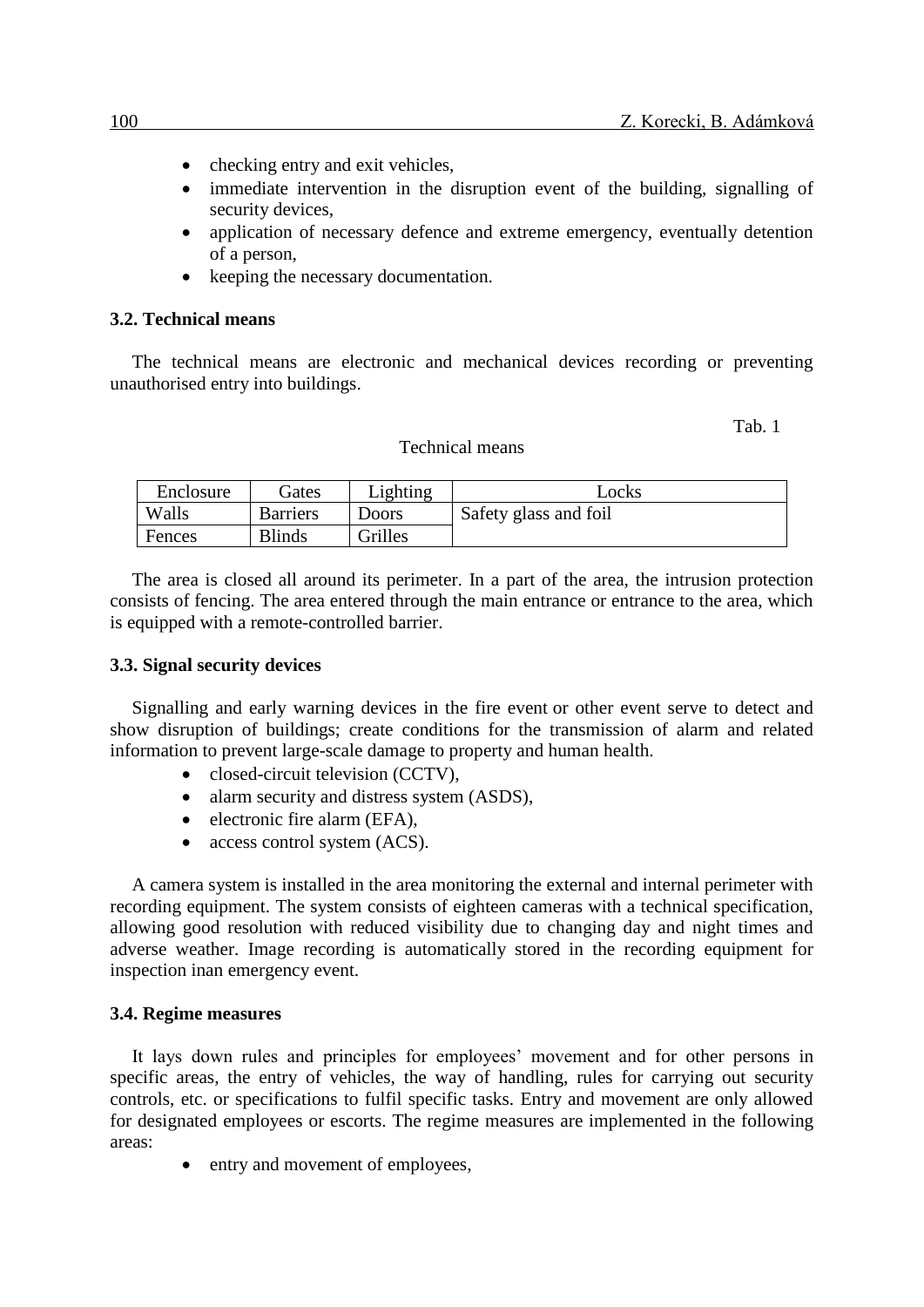- checking entry and exit vehicles.
- immediate intervention in the disruption event of the building, signalling of security devices,
- application of necessary defence and extreme emergency, eventually detention of a person,
- keeping the necessary documentation.

## **3.2. Technical means**

The technical means are electronic and mechanical devices recording or preventing unauthorised entry into buildings.

Tab. 1

#### Technical means

| Enclosure | Gates           | Lighting | Locks                 |
|-----------|-----------------|----------|-----------------------|
| Walls     | <b>Barriers</b> | Doors    | Safety glass and foil |
| Fences    | <b>Blinds</b>   | Grilles  |                       |

The area is closed all around its perimeter. In a part of the area, the intrusion protection consists of fencing. The area entered through the main entrance or entrance to the area, which is equipped with a remote-controlled barrier.

#### **3.3. Signal security devices**

Signalling and early warning devices in the fire event or other event serve to detect and show disruption of buildings; create conditions for the transmission of alarm and related information to prevent large-scale damage to property and human health.

- closed-circuit television (CCTV),
- alarm security and distress system (ASDS),
- electronic fire alarm (EFA),
- access control system (ACS).

A camera system is installed in the area monitoring the external and internal perimeter with recording equipment. The system consists of eighteen cameras with a technical specification, allowing good resolution with reduced visibility due to changing day and night times and adverse weather. Image recording is automatically stored in the recording equipment for inspection inan emergency event.

#### **3.4. Regime measures**

It lays down rules and principles for employees' movement and for other persons in specific areas, the entry of vehicles, the way of handling, rules for carrying out security controls, etc. or specifications to fulfil specific tasks. Entry and movement are only allowed for designated employees or escorts. The regime measures are implemented in the following areas:

• entry and movement of employees,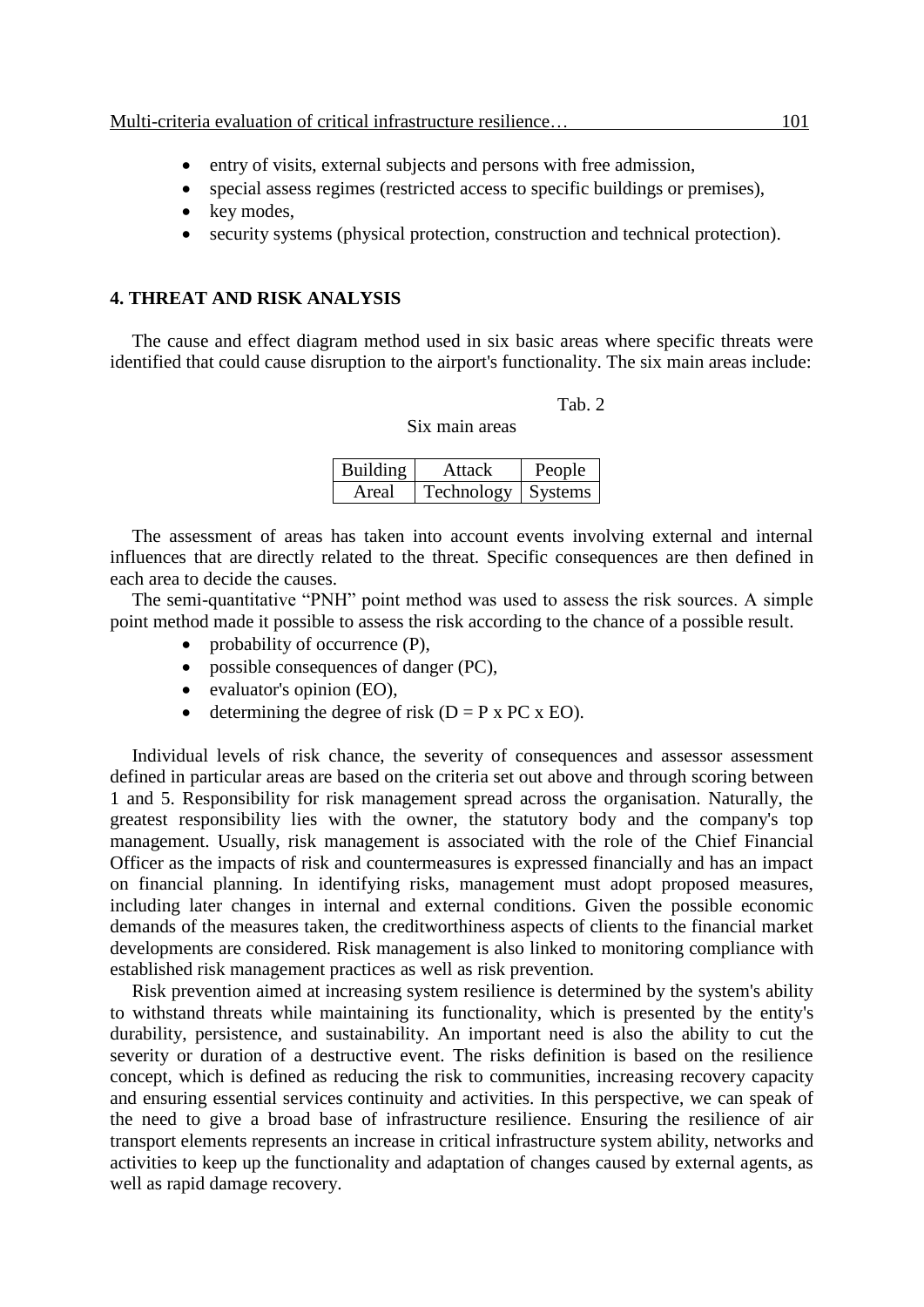- entry of visits, external subjects and persons with free admission,
- special assess regimes (restricted access to specific buildings or premises),
- $\bullet$  key modes.
- security systems (physical protection, construction and technical protection).

## **4. THREAT AND RISK ANALYSIS**

The cause and effect diagram method used in six basic areas where specific threats were identified that could cause disruption to the airport's functionality. The six main areas include:

### Tab. 2

## Six main areas

| Building | Attack     | People  |
|----------|------------|---------|
| Areal    | Technology | Systems |

The assessment of areas has taken into account events involving external and internal influences that are directly related to the threat. Specific consequences are then defined in each area to decide the causes.

The semi-quantitative "PNH" point method was used to assess the risk sources. A simple point method made it possible to assess the risk according to the chance of a possible result.

- probability of occurrence (P),
- possible consequences of danger (PC),
- evaluator's opinion (EO),
- $\bullet$  determining the degree of risk (D = P x PC x EO).

Individual levels of risk chance, the severity of consequences and assessor assessment defined in particular areas are based on the criteria set out above and through scoring between 1 and 5. Responsibility for risk management spread across the organisation. Naturally, the greatest responsibility lies with the owner, the statutory body and the company's top management. Usually, risk management is associated with the role of the Chief Financial Officer as the impacts of risk and countermeasures is expressed financially and has an impact on financial planning. In identifying risks, management must adopt proposed measures, including later changes in internal and external conditions. Given the possible economic demands of the measures taken, the creditworthiness aspects of clients to the financial market developments are considered. Risk management is also linked to monitoring compliance with established risk management practices as well as risk prevention.

Risk prevention aimed at increasing system resilience is determined by the system's ability to withstand threats while maintaining its functionality, which is presented by the entity's durability, persistence, and sustainability. An important need is also the ability to cut the severity or duration of a destructive event. The risks definition is based on the resilience concept, which is defined as reducing the risk to communities, increasing recovery capacity and ensuring essential services continuity and activities. In this perspective, we can speak of the need to give a broad base of infrastructure resilience. Ensuring the resilience of air transport elements represents an increase in critical infrastructure system ability, networks and activities to keep up the functionality and adaptation of changes caused by external agents, as well as rapid damage recovery.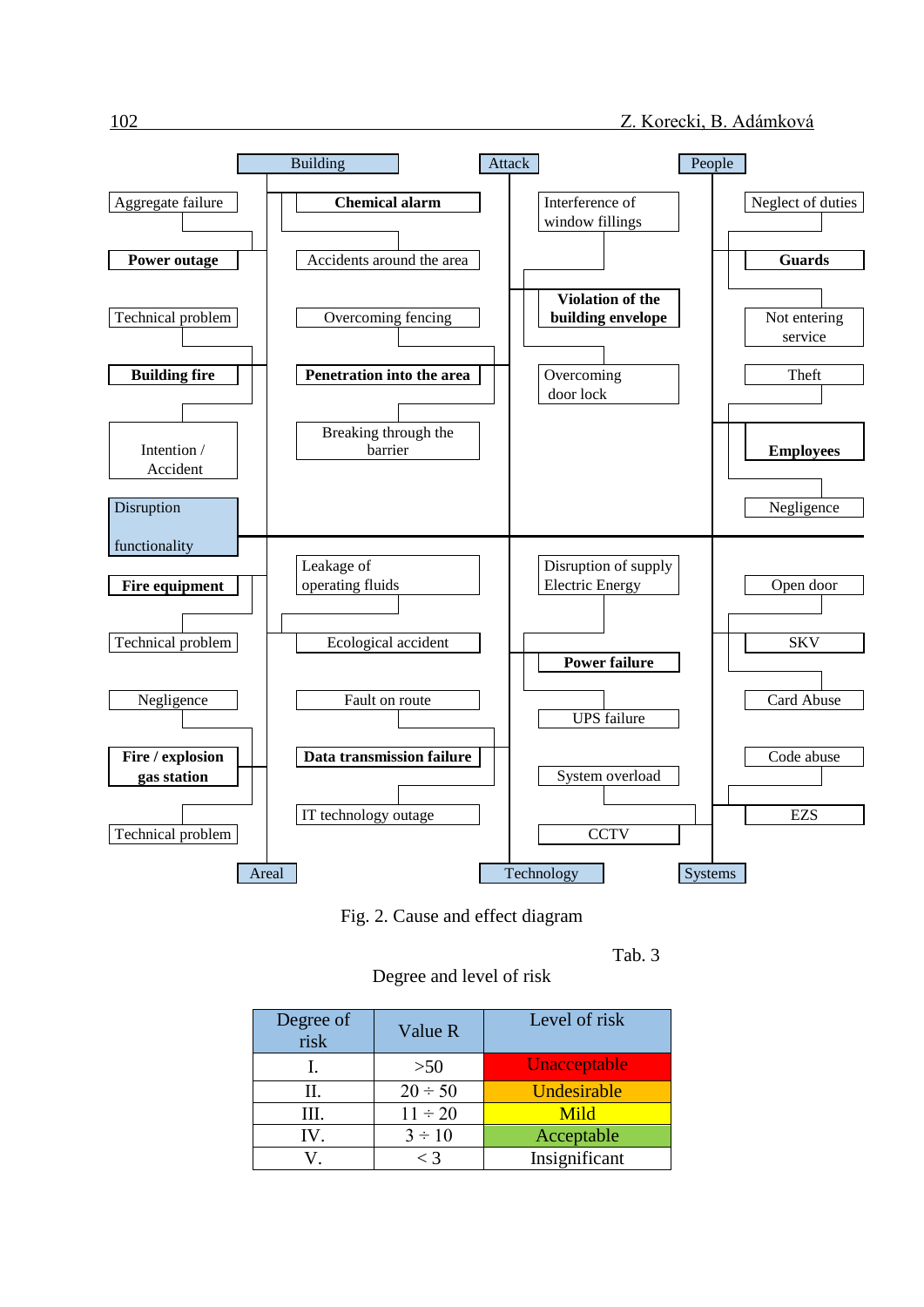

Fig. 2. Cause and effect diagram

Tab. 3

Degree and level of risk

| Degree of<br>risk | Value R      | Level of risk |
|-------------------|--------------|---------------|
|                   | >50          | Unacceptable  |
| Н.                | $20 \div 50$ | Undesirable   |
| III.              | $11 \div 20$ | Mild          |
| IV.               | $3 \div 10$  | Acceptable    |
|                   | $<$ 3        | Insignificant |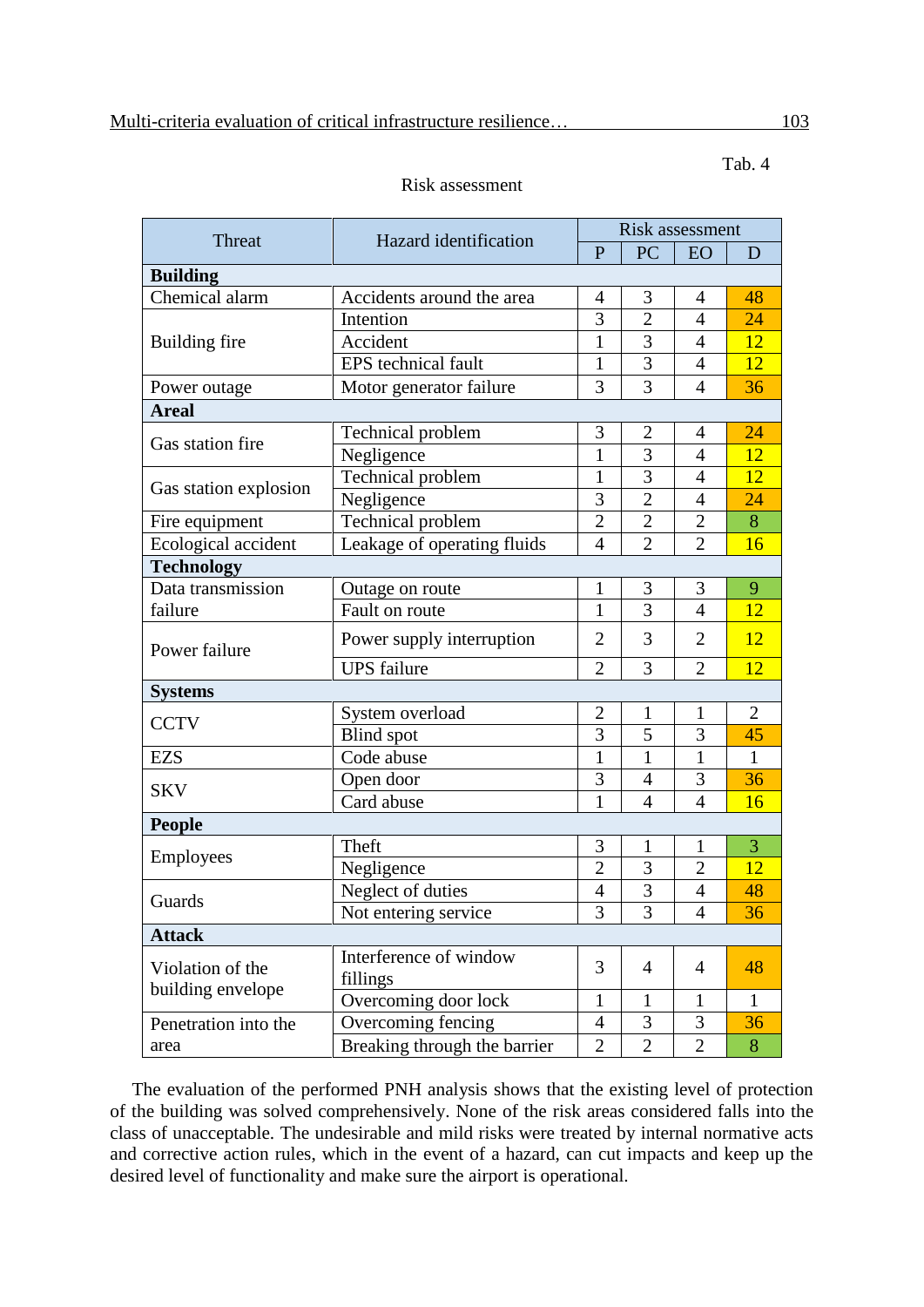| Threat                | <b>Hazard</b> identification       | <b>Risk assessment</b> |                |                |                |  |  |  |  |
|-----------------------|------------------------------------|------------------------|----------------|----------------|----------------|--|--|--|--|
|                       |                                    |                        | PC             | EO             | D              |  |  |  |  |
| <b>Building</b>       |                                    |                        |                |                |                |  |  |  |  |
| Chemical alarm        | Accidents around the area          |                        | 3              | 4              | 48             |  |  |  |  |
|                       | Intention                          |                        | $\overline{2}$ | $\overline{4}$ | 24             |  |  |  |  |
| Building fire         | Accident                           |                        | 3              | $\overline{4}$ | 12             |  |  |  |  |
|                       | EPS technical fault                |                        | 3              | $\overline{4}$ | 12             |  |  |  |  |
| Power outage          | Motor generator failure            |                        | 3              | $\overline{4}$ | 36             |  |  |  |  |
| <b>Areal</b>          |                                    |                        |                |                |                |  |  |  |  |
|                       | Technical problem                  | 3                      | $\overline{2}$ | $\overline{4}$ | 24             |  |  |  |  |
| Gas station fire      | Negligence                         | $\mathbf{1}$           | 3              | $\overline{4}$ | 12             |  |  |  |  |
|                       | Technical problem                  | 1                      | 3              | 4              | 12             |  |  |  |  |
| Gas station explosion | Negligence                         | 3                      | $\overline{2}$ | $\overline{4}$ | 24             |  |  |  |  |
| Fire equipment        | Technical problem                  | $\overline{2}$         | $\overline{2}$ | $\overline{2}$ | 8              |  |  |  |  |
| Ecological accident   | Leakage of operating fluids        | $\overline{4}$         | $\overline{2}$ | $\overline{2}$ | 16             |  |  |  |  |
| <b>Technology</b>     |                                    |                        |                |                |                |  |  |  |  |
| Data transmission     | Outage on route                    | 1                      | 3              | 3              | 9              |  |  |  |  |
| failure               | Fault on route                     | $\mathbf{1}$           | 3              | $\overline{4}$ | 12             |  |  |  |  |
| Power failure         | Power supply interruption          | $\overline{2}$         | 3              | $\overline{2}$ | <b>12</b>      |  |  |  |  |
|                       | <b>UPS</b> failure                 | $\overline{2}$         | 3              | $\overline{2}$ | 12             |  |  |  |  |
| <b>Systems</b>        |                                    |                        |                |                |                |  |  |  |  |
| <b>CCTV</b>           | System overload                    | $\overline{2}$         | $\mathbf{1}$   | 1              | $\overline{2}$ |  |  |  |  |
|                       | <b>Blind</b> spot                  | 3                      | 5              | 3              | 45             |  |  |  |  |
| <b>EZS</b>            | Code abuse                         | $\mathbf{1}$           | $\mathbf{1}$   | $\mathbf{1}$   | $\mathbf{1}$   |  |  |  |  |
| <b>SKV</b>            | Open door                          | 3                      | $\overline{4}$ | 3              | 36             |  |  |  |  |
|                       | Card abuse                         | $\mathbf{1}$           | $\overline{4}$ | $\overline{4}$ | 16             |  |  |  |  |
| <b>People</b>         |                                    |                        |                |                |                |  |  |  |  |
| <b>Employees</b>      | Theft                              | 3                      | $\mathbf{1}$   | 1              | 3              |  |  |  |  |
|                       | Negligence                         | $\overline{2}$         | 3              | $\overline{2}$ | 12             |  |  |  |  |
| Guards                | Neglect of duties                  | $\overline{4}$         | 3              | $\overline{4}$ | 48             |  |  |  |  |
|                       | Not entering service               | 3                      | 3              | $\overline{4}$ | 36             |  |  |  |  |
| <b>Attack</b>         |                                    |                        |                |                |                |  |  |  |  |
| Violation of the      | Interference of window<br>fillings | 3                      | $\overline{4}$ | $\overline{4}$ | 48             |  |  |  |  |
| building envelope     | Overcoming door lock               | $\mathbf{1}$           | $\mathbf{1}$   | $\mathbf{1}$   | $\mathbf{1}$   |  |  |  |  |
| Penetration into the  | Overcoming fencing                 | $\overline{4}$         | 3              | 3              | 36             |  |  |  |  |
| area                  | Breaking through the barrier       | $\overline{2}$         | $\overline{2}$ | $\overline{2}$ | 8              |  |  |  |  |

## Risk assessment

The evaluation of the performed PNH analysis shows that the existing level of protection of the building was solved comprehensively. None of the risk areas considered falls into the class of unacceptable. The undesirable and mild risks were treated by internal normative acts and corrective action rules, which in the event of a hazard, can cut impacts and keep up the desired level of functionality and make sure the airport is operational.

Tab. 4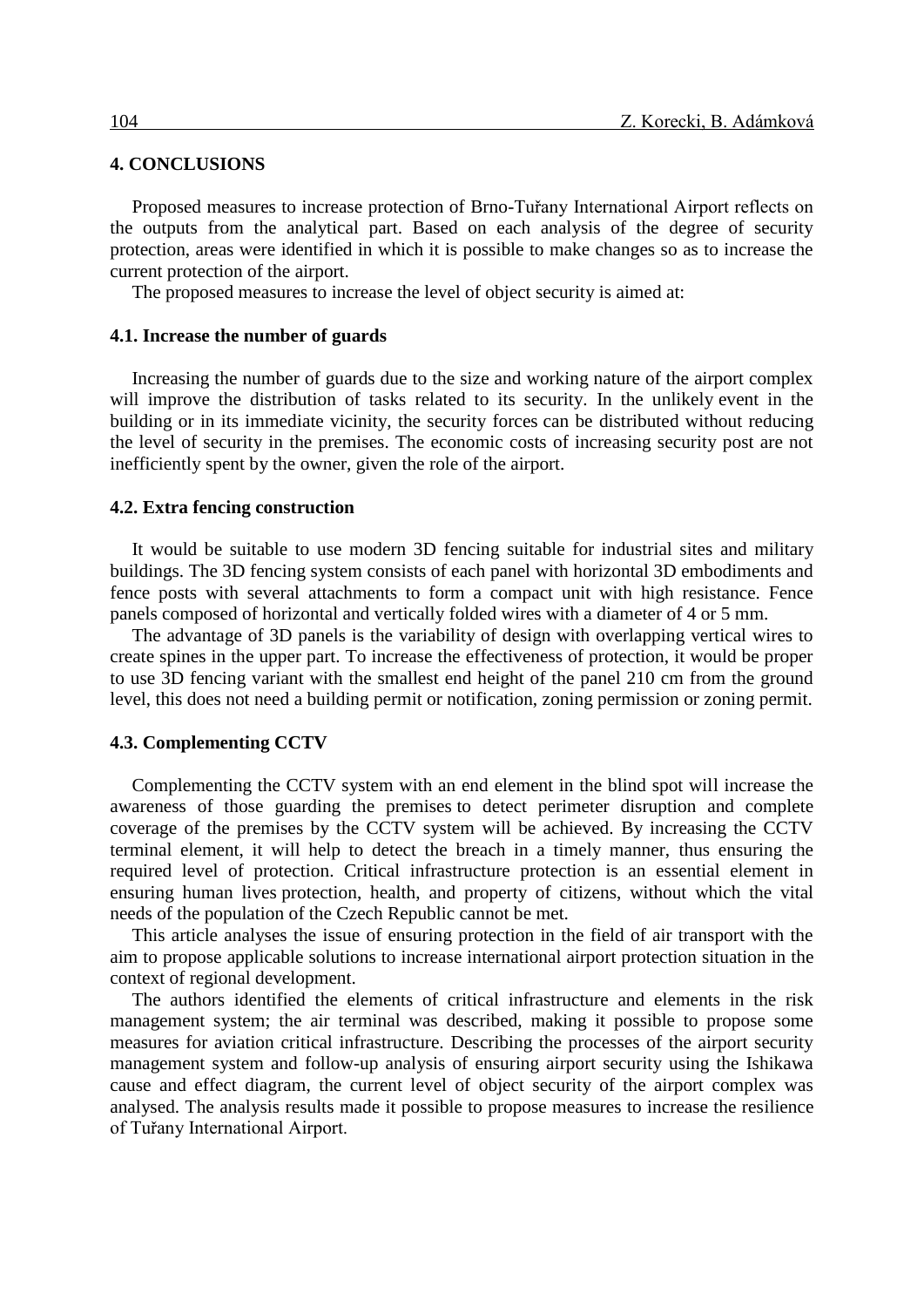## **4. CONCLUSIONS**

Proposed measures to increase protection of Brno-Tuřany International Airport reflects on the outputs from the analytical part. Based on each analysis of the degree of security protection, areas were identified in which it is possible to make changes so as to increase the current protection of the airport.

The proposed measures to increase the level of object security is aimed at:

### **4.1. Increase the number of guards**

Increasing the number of guards due to the size and working nature of the airport complex will improve the distribution of tasks related to its security. In the unlikely event in the building or in its immediate vicinity, the security forces can be distributed without reducing the level of security in the premises. The economic costs of increasing security post are not inefficiently spent by the owner, given the role of the airport.

#### **4.2. Extra fencing construction**

It would be suitable to use modern 3D fencing suitable for industrial sites and military buildings. The 3D fencing system consists of each panel with horizontal 3D embodiments and fence posts with several attachments to form a compact unit with high resistance. Fence panels composed of horizontal and vertically folded wires with a diameter of 4 or 5 mm.

The advantage of 3D panels is the variability of design with overlapping vertical wires to create spines in the upper part. To increase the effectiveness of protection, it would be proper to use 3D fencing variant with the smallest end height of the panel 210 cm from the ground level, this does not need a building permit or notification, zoning permission or zoning permit.

## **4.3. Complementing CCTV**

Complementing the CCTV system with an end element in the blind spot will increase the awareness of those guarding the premises to detect perimeter disruption and complete coverage of the premises by the CCTV system will be achieved. By increasing the CCTV terminal element, it will help to detect the breach in a timely manner, thus ensuring the required level of protection. Critical infrastructure protection is an essential element in ensuring human lives protection, health, and property of citizens, without which the vital needs of the population of the Czech Republic cannot be met.

This article analyses the issue of ensuring protection in the field of air transport with the aim to propose applicable solutions to increase international airport protection situation in the context of regional development.

The authors identified the elements of critical infrastructure and elements in the risk management system; the air terminal was described, making it possible to propose some measures for aviation critical infrastructure. Describing the processes of the airport security management system and follow-up analysis of ensuring airport security using the Ishikawa cause and effect diagram, the current level of object security of the airport complex was analysed. The analysis results made it possible to propose measures to increase the resilience of Tuřany International Airport.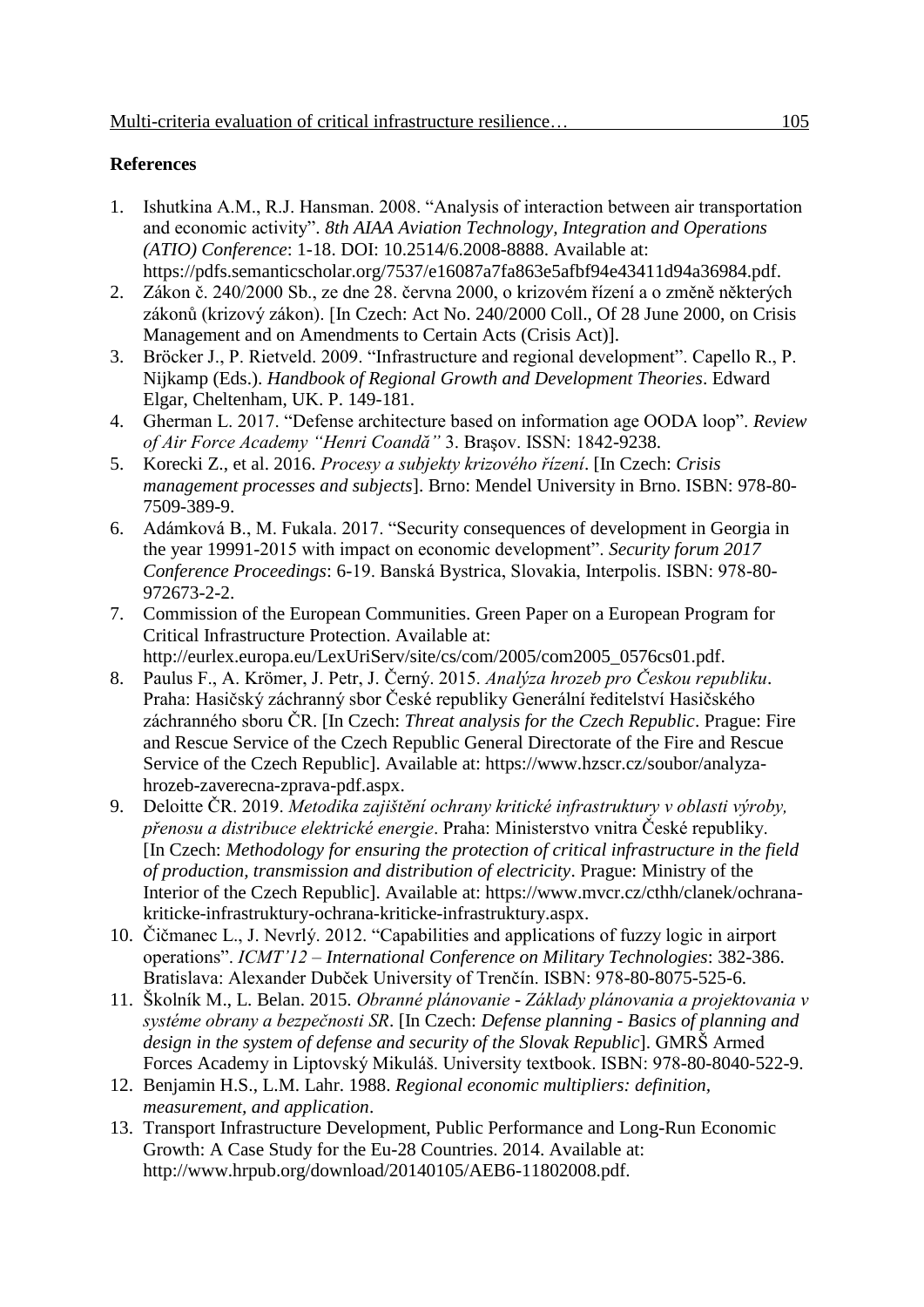# **References**

- 1. Ishutkina A.M., R.J. Hansman. 2008. "Analysis of interaction between air transportation and economic activity". *8th AIAA Aviation Technology, Integration and Operations (ATIO) Conference*: 1-18. DOI: 10.2514/6.2008-8888. [Available at:](file:///C:/Users/koreckiz/AppData/Local/Microsoft/Windows/Temporary%20Internet%20Files/Content.Outlook/B5NQB0IQ/Available%20from:%20https:/pdfs.semanticscholar.org/7537/e16087a7fa863e5afbf94e43411d94a36984.pdf)  [https://pdfs.semanticscholar.org/7537/e16087a7fa863e5afbf94e43411d94a36984.pdf.](file:///C:/Users/koreckiz/AppData/Local/Microsoft/Windows/Temporary%20Internet%20Files/Content.Outlook/B5NQB0IQ/Available%20from:%20https:/pdfs.semanticscholar.org/7537/e16087a7fa863e5afbf94e43411d94a36984.pdf)
- 2. Zákon č. 240/2000 Sb., ze dne 28. června 2000, o krizovém řízení a o změně některých zákonů (krizový zákon). [In Czech: Act No. 240/2000 Coll., Of 28 June 2000, on Crisis Management and on Amendments to Certain Acts (Crisis Act)].
- 3. Bröcker J., P. Rietveld. 2009. "Infrastructure and regional development". Capello R., P. Nijkamp (Eds.). *Handbook of Regional Growth and Development Theories*. Edward Elgar, Cheltenham, UK. P. 149-181.
- 4. Gherman L. 2017. "Defense architecture based on information age OODA loop". *Review of Air Force Academy "Henri Coandă"* 3. Braşov. ISSN: 1842-9238.
- 5. Korecki Z., et al. 2016. *Procesy a subjekty krizového řízení*. [In Czech: *Crisis management processes and subjects*]. Brno: Mendel University in Brno. ISBN: 978-80- 7509-389-9.
- 6. Adámková B., M. Fukala. 2017. "Security consequences of development in Georgia in the year 19991-2015 with impact on economic development". *Security forum 2017 Conference Proceedings*: 6-19. Banská Bystrica, Slovakia, Interpolis. ISBN: 978-80- 972673-2-2.
- 7. Commission of the European Communities. Green Paper on a European Program for Critical Infrastructure Protection. Available at: http://eurlex.europa.eu/LexUriServ/site/cs/com/2005/com2005\_0576cs01.pdf.
- 8. Paulus F., A. Krömer, J. Petr, J. Černý. 2015. *Analýza hrozeb pro Českou republiku*. Praha: Hasičský záchranný sbor České republiky Generální ředitelství Hasičského záchranného sboru ČR. [In Czech: *Threat analysis for the Czech Republic*. Prague: Fire and Rescue Service of the Czech Republic General Directorate of the Fire and Rescue Service of the Czech Republic]. Available at: https://www.hzscr.cz/soubor/analyzahrozeb-zaverecna-zprava-pdf.aspx.
- 9. Deloitte ČR. 2019. *Metodika zajištění ochrany kritické infrastruktury v oblasti výroby, přenosu a distribuce elektrické energie*. Praha: Ministerstvo vnitra České republiky. [In Czech: *Methodology for ensuring the protection of critical infrastructure in the field of production, transmission and distribution of electricity*. Prague: Ministry of the Interior of the Czech Republic]. Available at: [https://www.mvcr.cz/cthh/clanek/ochrana](https://www.mvcr.cz/cthh/clanek/ochrana-kriticke-infrastruktury-ochrana-kriticke-infrastruktury.aspx)[kriticke-infrastruktury-ochrana-kriticke-infrastruktury.aspx.](https://www.mvcr.cz/cthh/clanek/ochrana-kriticke-infrastruktury-ochrana-kriticke-infrastruktury.aspx)
- 10. Čičmanec L., J. Nevrlý. 2012. "Capabilities and applications of fuzzy logic in airport operations". *ICMT'12 – International Conference on Military Technologies*: 382-386. Bratislava: Alexander Dubček University of Trenčín. ISBN: 978-80-8075-525-6.
- 11. Školník M., L. Belan. 2015. *Obranné plánovanie - Základy plánovania a projektovania v systéme obrany a bezpečnosti SR*. [In Czech: *Defense planning - Basics of planning and design in the system of defense and security of the Slovak Republic*]. GMRŠ Armed Forces Academy in Liptovský Mikuláš. University textbook. ISBN: 978-80-8040-522-9.
- 12. Benjamin H.S., L.M. Lahr. 1988. *Regional economic multipliers: definition, measurement, and application*.
- 13. Transport Infrastructure Development, Public Performance and Long-Run Economic Growth: A Case Study for the Eu-28 Countries. 2014. Available at: [http://www.hrpub.org/download/20140105/AEB6-11802008.pdf.](http://www.hrpub.org/download/20140105/AEB6-11802008.pdf)